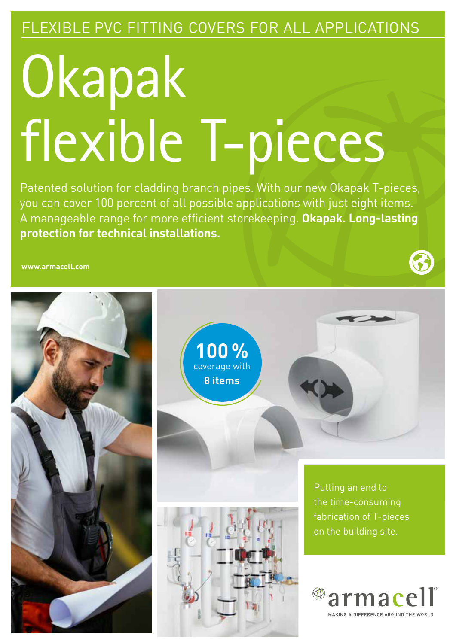### FLEXIBLE PVC FITTING COVERS FOR ALL APPLICATIONS

# **Okapak** flexible T-pieces

Patented solution for cladding branch pipes. With our new Okapak T-pieces, you can cover 100 percent of all possible applications with just eight items. A manageable range for more efficient storekeeping. **Okapak. Long-lasting protection for technical installations.** 

**www.armacell.com**